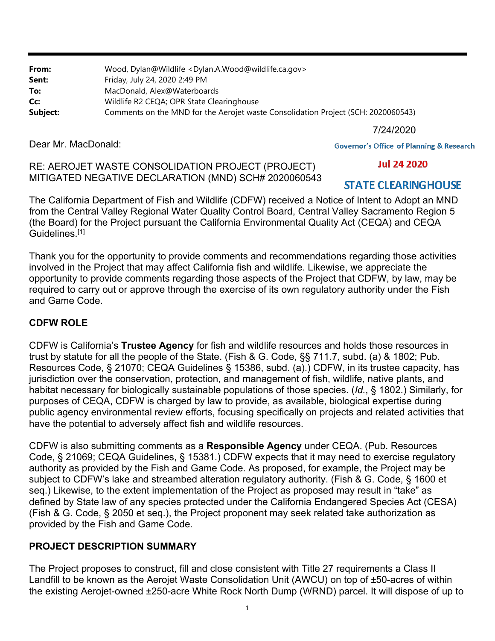**From:** Wood, Dylan@Wildlife <Dylan.A.Wood@wildlife.ca.gov> **Sent:** Friday, July 24, 2020 2:49 PM **To:** MacDonald, Alex@Waterboards **Cc:** Wildlife R2 CEQA; OPR State Clearinghouse **Subject:** Comments on the MND for the Aerojet waste Consolidation Project (SCH: 2020060543)

7/24/2020

Dear Mr. MacDonald:

**Governor's Office of Planning & Research** 

**Jul 24 2020** 

#### RE: AEROJET WASTE CONSOLIDATION PROJECT (PROJECT) MITIGATED NEGATIVE DECLARATION (MND) SCH# 2020060543

# **STATE CLEARING HOUSE**

The California Department of Fish and Wildlife (CDFW) received a Notice of Intent to Adopt an MND from the Central Valley Regional Water Quality Control Board, Central Valley Sacramento Region 5 (the Board) for the Project pursuant the California Environmental Quality Act (CEQA) and CEQA Guidelines.[1]

Thank you for the opportunity to provide comments and recommendations regarding those activities involved in the Project that may affect California fish and wildlife. Likewise, we appreciate the opportunity to provide comments regarding those aspects of the Project that CDFW, by law, may be required to carry out or approve through the exercise of its own regulatory authority under the Fish and Game Code.

## **CDFW ROLE**

CDFW is California's **Trustee Agency** for fish and wildlife resources and holds those resources in trust by statute for all the people of the State. (Fish & G. Code, §§ 711.7, subd. (a) & 1802; Pub. Resources Code, § 21070; CEQA Guidelines § 15386, subd. (a).) CDFW, in its trustee capacity, has jurisdiction over the conservation, protection, and management of fish, wildlife, native plants, and habitat necessary for biologically sustainable populations of those species. (*Id.*, § 1802.) Similarly, for purposes of CEQA, CDFW is charged by law to provide, as available, biological expertise during public agency environmental review efforts, focusing specifically on projects and related activities that have the potential to adversely affect fish and wildlife resources.

CDFW is also submitting comments as a **Responsible Agency** under CEQA. (Pub. Resources Code, § 21069; CEQA Guidelines, § 15381.) CDFW expects that it may need to exercise regulatory authority as provided by the Fish and Game Code. As proposed, for example, the Project may be subject to CDFW's lake and streambed alteration regulatory authority. (Fish & G. Code, § 1600 et seq.) Likewise, to the extent implementation of the Project as proposed may result in "take" as defined by State law of any species protected under the California Endangered Species Act (CESA) (Fish & G. Code, § 2050 et seq.), the Project proponent may seek related take authorization as provided by the Fish and Game Code.

## **PROJECT DESCRIPTION SUMMARY**

The Project proposes to construct, fill and close consistent with Title 27 requirements a Class II Landfill to be known as the Aerojet Waste Consolidation Unit (AWCU) on top of ±50-acres of within the existing Aerojet-owned ±250-acre White Rock North Dump (WRND) parcel. It will dispose of up to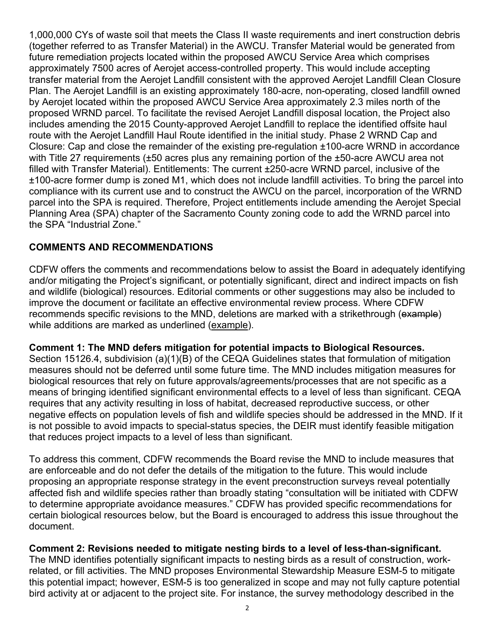1,000,000 CYs of waste soil that meets the Class II waste requirements and inert construction debris (together referred to as Transfer Material) in the AWCU. Transfer Material would be generated from future remediation projects located within the proposed AWCU Service Area which comprises approximately 7500 acres of Aerojet access-controlled property. This would include accepting transfer material from the Aerojet Landfill consistent with the approved Aerojet Landfill Clean Closure Plan. The Aerojet Landfill is an existing approximately 180-acre, non-operating, closed landfill owned by Aerojet located within the proposed AWCU Service Area approximately 2.3 miles north of the proposed WRND parcel. To facilitate the revised Aerojet Landfill disposal location, the Project also includes amending the 2015 County-approved Aerojet Landfill to replace the identified offsite haul route with the Aerojet Landfill Haul Route identified in the initial study. Phase 2 WRND Cap and Closure: Cap and close the remainder of the existing pre-regulation ±100-acre WRND in accordance with Title 27 requirements (±50 acres plus any remaining portion of the ±50-acre AWCU area not filled with Transfer Material). Entitlements: The current ±250-acre WRND parcel, inclusive of the ±100-acre former dump is zoned M1, which does not include landfill activities. To bring the parcel into compliance with its current use and to construct the AWCU on the parcel, incorporation of the WRND parcel into the SPA is required. Therefore, Project entitlements include amending the Aerojet Special Planning Area (SPA) chapter of the Sacramento County zoning code to add the WRND parcel into the SPA "Industrial Zone."

### **COMMENTS AND RECOMMENDATIONS**

CDFW offers the comments and recommendations below to assist the Board in adequately identifying and/or mitigating the Project's significant, or potentially significant, direct and indirect impacts on fish and wildlife (biological) resources. Editorial comments or other suggestions may also be included to improve the document or facilitate an effective environmental review process. Where CDFW recommends specific revisions to the MND, deletions are marked with a strikethrough (example) while additions are marked as underlined (example).

**Comment 1: The MND defers mitigation for potential impacts to Biological Resources.**  Section 15126.4, subdivision (a)(1)(B) of the CEQA Guidelines states that formulation of mitigation measures should not be deferred until some future time. The MND includes mitigation measures for biological resources that rely on future approvals/agreements/processes that are not specific as a means of bringing identified significant environmental effects to a level of less than significant. CEQA requires that any activity resulting in loss of habitat, decreased reproductive success, or other negative effects on population levels of fish and wildlife species should be addressed in the MND. If it is not possible to avoid impacts to special-status species, the DEIR must identify feasible mitigation that reduces project impacts to a level of less than significant.

To address this comment, CDFW recommends the Board revise the MND to include measures that are enforceable and do not defer the details of the mitigation to the future. This would include proposing an appropriate response strategy in the event preconstruction surveys reveal potentially affected fish and wildlife species rather than broadly stating "consultation will be initiated with CDFW to determine appropriate avoidance measures." CDFW has provided specific recommendations for certain biological resources below, but the Board is encouraged to address this issue throughout the document.

#### **Comment 2: Revisions needed to mitigate nesting birds to a level of less-than-significant.**

The MND identifies potentially significant impacts to nesting birds as a result of construction, workrelated, or fill activities. The MND proposes Environmental Stewardship Measure ESM-5 to mitigate this potential impact; however, ESM-5 is too generalized in scope and may not fully capture potential bird activity at or adjacent to the project site. For instance, the survey methodology described in the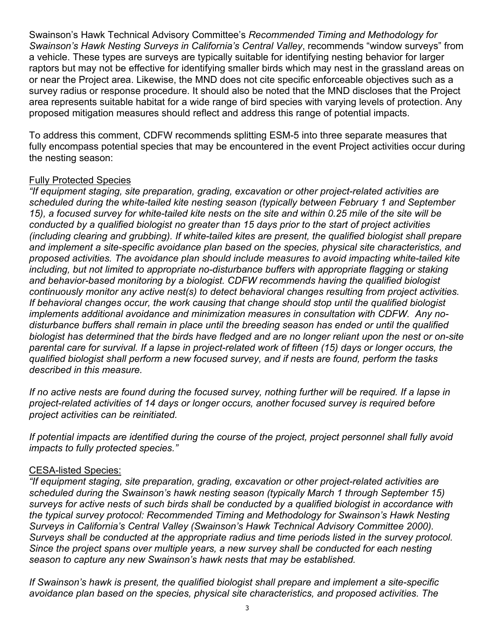Swainson's Hawk Technical Advisory Committee's *Recommended Timing and Methodology for Swainson's Hawk Nesting Surveys in California's Central Valley*, recommends "window surveys" from a vehicle. These types are surveys are typically suitable for identifying nesting behavior for larger raptors but may not be effective for identifying smaller birds which may nest in the grassland areas on or near the Project area. Likewise, the MND does not cite specific enforceable objectives such as a survey radius or response procedure. It should also be noted that the MND discloses that the Project area represents suitable habitat for a wide range of bird species with varying levels of protection. Any proposed mitigation measures should reflect and address this range of potential impacts.

To address this comment, CDFW recommends splitting ESM-5 into three separate measures that fully encompass potential species that may be encountered in the event Project activities occur during the nesting season:

#### Fully Protected Species

*"If equipment staging, site preparation, grading, excavation or other project-related activities are scheduled during the white-tailed kite nesting season (typically between February 1 and September 15), a focused survey for white-tailed kite nests on the site and within 0.25 mile of the site will be conducted by a qualified biologist no greater than 15 days prior to the start of project activities (including clearing and grubbing). If white-tailed kites are present, the qualified biologist shall prepare and implement a site-specific avoidance plan based on the species, physical site characteristics, and proposed activities. The avoidance plan should include measures to avoid impacting white-tailed kite including, but not limited to appropriate no-disturbance buffers with appropriate flagging or staking and behavior-based monitoring by a biologist. CDFW recommends having the qualified biologist continuously monitor any active nest(s) to detect behavioral changes resulting from project activities. If behavioral changes occur, the work causing that change should stop until the qualified biologist implements additional avoidance and minimization measures in consultation with CDFW. Any nodisturbance buffers shall remain in place until the breeding season has ended or until the qualified biologist has determined that the birds have fledged and are no longer reliant upon the nest or on-site parental care for survival. If a lapse in project-related work of fifteen (15) days or longer occurs, the qualified biologist shall perform a new focused survey, and if nests are found, perform the tasks described in this measure.* 

*If no active nests are found during the focused survey, nothing further will be required. If a lapse in project-related activities of 14 days or longer occurs, another focused survey is required before project activities can be reinitiated.* 

*If potential impacts are identified during the course of the project, project personnel shall fully avoid impacts to fully protected species."* 

#### CESA-listed Species:

*"If equipment staging, site preparation, grading, excavation or other project-related activities are scheduled during the Swainson's hawk nesting season (typically March 1 through September 15) surveys for active nests of such birds shall be conducted by a qualified biologist in accordance with the typical survey protocol: Recommended Timing and Methodology for Swainson's Hawk Nesting Surveys in California's Central Valley (Swainson's Hawk Technical Advisory Committee 2000). Surveys shall be conducted at the appropriate radius and time periods listed in the survey protocol. Since the project spans over multiple years, a new survey shall be conducted for each nesting season to capture any new Swainson's hawk nests that may be established.* 

*If Swainson's hawk is present, the qualified biologist shall prepare and implement a site-specific avoidance plan based on the species, physical site characteristics, and proposed activities. The*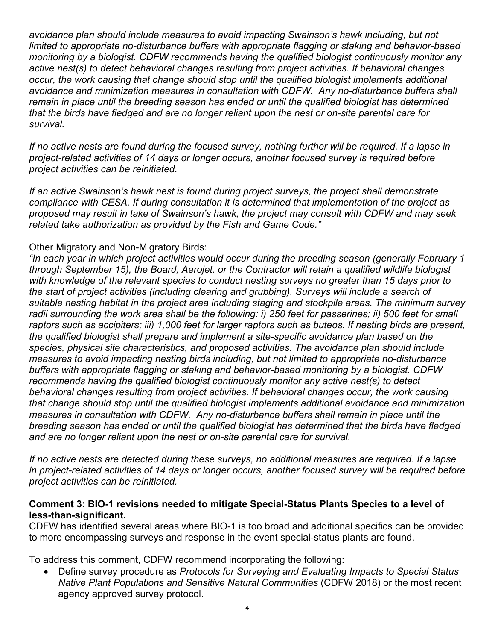*avoidance plan should include measures to avoid impacting Swainson's hawk including, but not limited to appropriate no-disturbance buffers with appropriate flagging or staking and behavior-based monitoring by a biologist. CDFW recommends having the qualified biologist continuously monitor any active nest(s) to detect behavioral changes resulting from project activities. If behavioral changes occur, the work causing that change should stop until the qualified biologist implements additional avoidance and minimization measures in consultation with CDFW. Any no-disturbance buffers shall remain in place until the breeding season has ended or until the qualified biologist has determined that the birds have fledged and are no longer reliant upon the nest or on-site parental care for survival.* 

*If no active nests are found during the focused survey, nothing further will be required. If a lapse in project-related activities of 14 days or longer occurs, another focused survey is required before project activities can be reinitiated.* 

*If an active Swainson's hawk nest is found during project surveys, the project shall demonstrate compliance with CESA. If during consultation it is determined that implementation of the project as proposed may result in take of Swainson's hawk, the project may consult with CDFW and may seek related take authorization as provided by the Fish and Game Code."* 

### Other Migratory and Non-Migratory Birds:

*"In each year in which project activities would occur during the breeding season (generally February 1 through September 15), the Board, Aerojet, or the Contractor will retain a qualified wildlife biologist*  with knowledge of the relevant species to conduct nesting surveys no greater than 15 days prior to *the start of project activities (including clearing and grubbing). Surveys will include a search of suitable nesting habitat in the project area including staging and stockpile areas. The minimum survey radii surrounding the work area shall be the following: i) 250 feet for passerines; ii) 500 feet for small raptors such as accipiters; iii) 1,000 feet for larger raptors such as buteos. If nesting birds are present, the qualified biologist shall prepare and implement a site-specific avoidance plan based on the species, physical site characteristics, and proposed activities. The avoidance plan should include measures to avoid impacting nesting birds including, but not limited to appropriate no-disturbance buffers with appropriate flagging or staking and behavior-based monitoring by a biologist. CDFW recommends having the qualified biologist continuously monitor any active nest(s) to detect behavioral changes resulting from project activities. If behavioral changes occur, the work causing that change should stop until the qualified biologist implements additional avoidance and minimization measures in consultation with CDFW. Any no-disturbance buffers shall remain in place until the breeding season has ended or until the qualified biologist has determined that the birds have fledged and are no longer reliant upon the nest or on-site parental care for survival.* 

*If no active nests are detected during these surveys, no additional measures are required. If a lapse in project-related activities of 14 days or longer occurs, another focused survey will be required before project activities can be reinitiated.* 

#### **Comment 3: BIO-1 revisions needed to mitigate Special-Status Plants Species to a level of less-than-significant.**

CDFW has identified several areas where BIO-1 is too broad and additional specifics can be provided to more encompassing surveys and response in the event special-status plants are found.

To address this comment, CDFW recommend incorporating the following:

 Define survey procedure as *Protocols for Surveying and Evaluating Impacts to Special Status Native Plant Populations and Sensitive Natural Communities* (CDFW 2018) or the most recent agency approved survey protocol.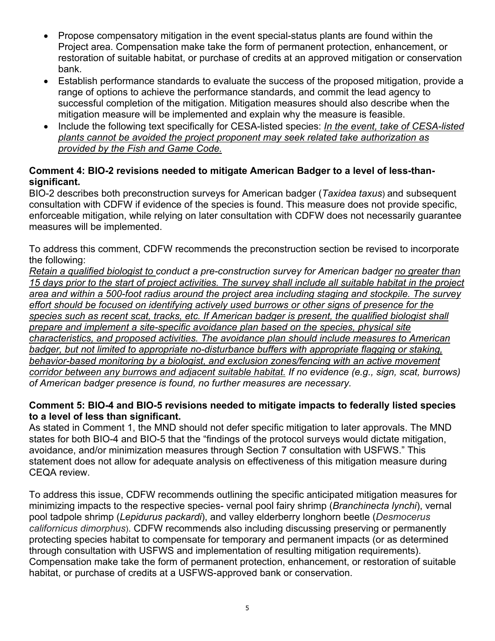- Propose compensatory mitigation in the event special-status plants are found within the Project area. Compensation make take the form of permanent protection, enhancement, or restoration of suitable habitat, or purchase of credits at an approved mitigation or conservation bank.
- Establish performance standards to evaluate the success of the proposed mitigation, provide a range of options to achieve the performance standards, and commit the lead agency to successful completion of the mitigation. Mitigation measures should also describe when the mitigation measure will be implemented and explain why the measure is feasible.
- Include the following text specifically for CESA-listed species: *In the event, take of CESA-listed plants cannot be avoided the project proponent may seek related take authorization as provided by the Fish and Game Code.*

### **Comment 4: BIO-2 revisions needed to mitigate American Badger to a level of less-thansignificant.**

BIO-2 describes both preconstruction surveys for American badger (*Taxidea taxus*) and subsequent consultation with CDFW if evidence of the species is found. This measure does not provide specific, enforceable mitigation, while relying on later consultation with CDFW does not necessarily guarantee measures will be implemented.

To address this comment, CDFW recommends the preconstruction section be revised to incorporate the following:

*Retain a qualified biologist to conduct a pre-construction survey for American badger no greater than 15 days prior to the start of project activities. The survey shall include all suitable habitat in the project area and within a 500-foot radius around the project area including staging and stockpile. The survey effort should be focused on identifying actively used burrows or other signs of presence for the species such as recent scat, tracks, etc. If American badger is present, the qualified biologist shall prepare and implement a site-specific avoidance plan based on the species, physical site characteristics, and proposed activities. The avoidance plan should include measures to American*  badger, but not limited to appropriate no-disturbance buffers with appropriate flagging or staking. *behavior-based monitoring by a biologist, and exclusion zones/fencing with an active movement corridor between any burrows and adjacent suitable habitat. If no evidence (e.g., sign, scat, burrows) of American badger presence is found, no further measures are necessary.* 

### **Comment 5: BIO-4 and BIO-5 revisions needed to mitigate impacts to federally listed species to a level of less than significant.**

As stated in Comment 1, the MND should not defer specific mitigation to later approvals. The MND states for both BIO-4 and BIO-5 that the "findings of the protocol surveys would dictate mitigation, avoidance, and/or minimization measures through Section 7 consultation with USFWS." This statement does not allow for adequate analysis on effectiveness of this mitigation measure during CEQA review.

To address this issue, CDFW recommends outlining the specific anticipated mitigation measures for minimizing impacts to the respective species- vernal pool fairy shrimp (*Branchinecta lynchi*), vernal pool tadpole shrimp (*Lepidurus packardi*), and valley elderberry longhorn beetle (*Desmocerus californicus dimorphus*). CDFW recommends also including discussing preserving or permanently protecting species habitat to compensate for temporary and permanent impacts (or as determined through consultation with USFWS and implementation of resulting mitigation requirements). Compensation make take the form of permanent protection, enhancement, or restoration of suitable habitat, or purchase of credits at a USFWS-approved bank or conservation.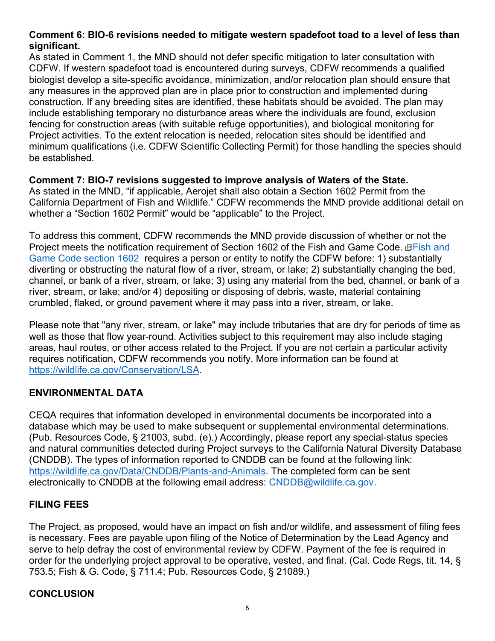### **Comment 6: BIO-6 revisions needed to mitigate western spadefoot toad to a level of less than significant.**

As stated in Comment 1, the MND should not defer specific mitigation to later consultation with CDFW. If western spadefoot toad is encountered during surveys, CDFW recommends a qualified biologist develop a site-specific avoidance, minimization, and/or relocation plan should ensure that any measures in the approved plan are in place prior to construction and implemented during construction. If any breeding sites are identified, these habitats should be avoided. The plan may include establishing temporary no disturbance areas where the individuals are found, exclusion fencing for construction areas (with suitable refuge opportunities), and biological monitoring for Project activities. To the extent relocation is needed, relocation sites should be identified and minimum qualifications (i.e. CDFW Scientific Collecting Permit) for those handling the species should be established.

### **Comment 7: BIO-7 revisions suggested to improve analysis of Waters of the State.**

As stated in the MND, "if applicable, Aerojet shall also obtain a Section 1602 Permit from the California Department of Fish and Wildlife." CDFW recommends the MND provide additional detail on whether a "Section 1602 Permit" would be "applicable" to the Project.

To address this comment, CDFW recommends the MND provide discussion of whether or not the Project meets the notification requirement of Section 1602 of the Fish and Game Code. *@Fish and* Game Code section 1602 requires a person or entity to notify the CDFW before: 1) substantially diverting or obstructing the natural flow of a river, stream, or lake; 2) substantially changing the bed, channel, or bank of a river, stream, or lake; 3) using any material from the bed, channel, or bank of a river, stream, or lake; and/or 4) depositing or disposing of debris, waste, material containing crumbled, flaked, or ground pavement where it may pass into a river, stream, or lake.

Please note that "any river, stream, or lake" may include tributaries that are dry for periods of time as well as those that flow year-round. Activities subject to this requirement may also include staging areas, haul routes, or other access related to the Project. If you are not certain a particular activity requires notification, CDFW recommends you notify. More information can be found at https://wildlife.ca.gov/Conservation/LSA.

### **ENVIRONMENTAL DATA**

CEQA requires that information developed in environmental documents be incorporated into a database which may be used to make subsequent or supplemental environmental determinations. (Pub. Resources Code, § 21003, subd. (e).) Accordingly, please report any special-status species and natural communities detected during Project surveys to the California Natural Diversity Database (CNDDB). The types of information reported to CNDDB can be found at the following link: https://wildlife.ca.gov/Data/CNDDB/Plants-and-Animals. The completed form can be sent electronically to CNDDB at the following email address: CNDDB@wildlife.ca.gov.

### **FILING FEES**

The Project, as proposed, would have an impact on fish and/or wildlife, and assessment of filing fees is necessary. Fees are payable upon filing of the Notice of Determination by the Lead Agency and serve to help defray the cost of environmental review by CDFW. Payment of the fee is required in order for the underlying project approval to be operative, vested, and final. (Cal. Code Regs, tit. 14, § 753.5; Fish & G. Code, § 711.4; Pub. Resources Code, § 21089.)

### **CONCLUSION**